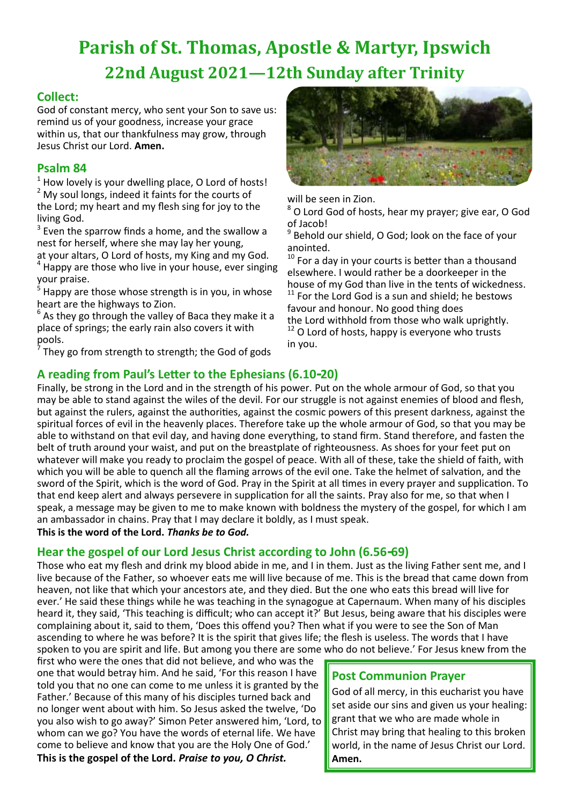# **Parish of St. Thomas, Apostle & Martyr, Ipswich 22nd August 2021—12th Sunday after Trinity**

## **Collect:**

God of constant mercy, who sent your Son to save us: remind us of your goodness, increase your grace within us, that our thankfulness may grow, through Jesus Christ our Lord. **Amen.**

# **Psalm 84**

 $\frac{1}{2}$  How lovely is your dwelling place, O Lord of hosts! <sup>2</sup> My soul longs, indeed it faints for the courts of the Lord; my heart and my flesh sing for joy to the living God.

 $3$  Even the sparrow finds a home, and the swallow a nest for herself, where she may lay her young,

at your altars, O Lord of hosts, my King and my God. 4 Happy are those who live in your house, ever singing your praise.

 $<sup>5</sup>$  Happy are those whose strength is in you, in whose</sup> heart are the highways to Zion.

 $6$  As they go through the valley of Baca they make it a place of springs; the early rain also covers it with pools.<br><sup>7</sup> Thou

They go from strength to strength; the God of gods



will be seen in Zion.

<sup>8</sup> O Lord God of hosts, hear my prayer; give ear, O God of Jacob!

<sup>9</sup> Behold our shield, O God; look on the face of your anointed.

 $10$  For a day in your courts is better than a thousand elsewhere. I would rather be a doorkeeper in the house of my God than live in the tents of wickedness.

For the Lord God is a sun and shield; he bestows favour and honour. No good thing does the Lord withhold from those who walk uprightly.  $12$  O Lord of hosts, happy is everyone who trusts

in you.

# **A reading from Paul's Letter to the Ephesians (6.10-20)**

Finally, be strong in the Lord and in the strength of his power. Put on the whole armour of God, so that you may be able to stand against the wiles of the devil. For our struggle is not against enemies of blood and flesh, but against the rulers, against the authorities, against the cosmic powers of this present darkness, against the spiritual forces of evil in the heavenly places. Therefore take up the whole armour of God, so that you may be able to withstand on that evil day, and having done everything, to stand firm. Stand therefore, and fasten the belt of truth around your waist, and put on the breastplate of righteousness. As shoes for your feet put on whatever will make you ready to proclaim the gospel of peace. With all of these, take the shield of faith, with which you will be able to quench all the flaming arrows of the evil one. Take the helmet of salvation, and the sword of the Spirit, which is the word of God. Pray in the Spirit at all times in every prayer and supplication. To that end keep alert and always persevere in supplication for all the saints. Pray also for me, so that when I speak, a message may be given to me to make known with boldness the mystery of the gospel, for which I am an ambassador in chains. Pray that I may declare it boldly, as I must speak.

## **This is the word of the Lord.** *Thanks be to God.*

# **Hear the gospel of our Lord Jesus Christ according to John (6.56-69)**

Those who eat my flesh and drink my blood abide in me, and I in them. Just as the living Father sent me, and I live because of the Father, so whoever eats me will live because of me. This is the bread that came down from heaven, not like that which your ancestors ate, and they died. But the one who eats this bread will live for ever.' He said these things while he was teaching in the synagogue at Capernaum. When many of his disciples heard it, they said, 'This teaching is difficult; who can accept it?' But Jesus, being aware that his disciples were complaining about it, said to them, 'Does this offend you? Then what if you were to see the Son of Man ascending to where he was before? It is the spirit that gives life; the flesh is useless. The words that I have spoken to you are spirit and life. But among you there are some who do not believe.' For Jesus knew from the

first who were the ones that did not believe, and who was the one that would betray him. And he said, 'For this reason I have told you that no one can come to me unless it is granted by the Father.' Because of this many of his disciples turned back and no longer went about with him. So Jesus asked the twelve, 'Do you also wish to go away?' Simon Peter answered him, 'Lord, to whom can we go? You have the words of eternal life. We have come to believe and know that you are the Holy One of God.' **This is the gospel of the Lord.** *Praise to you, O Christ.*

## **Post Communion Prayer**

God of all mercy, in this eucharist you have set aside our sins and given us your healing: grant that we who are made whole in Christ may bring that healing to this broken world, in the name of Jesus Christ our Lord. **Amen.**